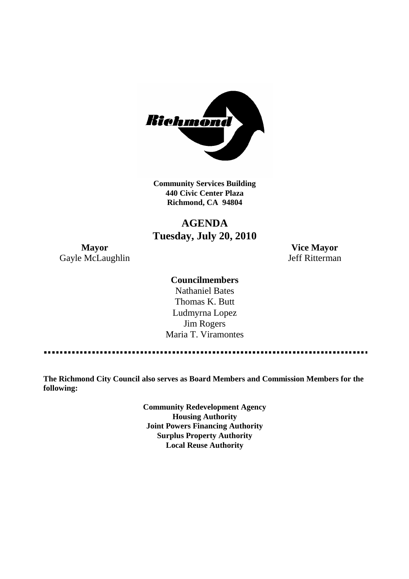

**Community Services Building 440 Civic Center Plaza Richmond, CA 94804**

## **AGENDA Tuesday, July 20, 2010**

**Mayor Vice Mayor** Gayle McLaughlin Jeff Ritterman

## **Councilmembers**

Nathaniel Bates Thomas K. Butt Ludmyrna Lopez Jim Rogers Maria T. Viramontes

**The Richmond City Council also serves as Board Members and Commission Members for the following:**

> **Community Redevelopment Agency Housing Authority Joint Powers Financing Authority Surplus Property Authority Local Reuse Authority**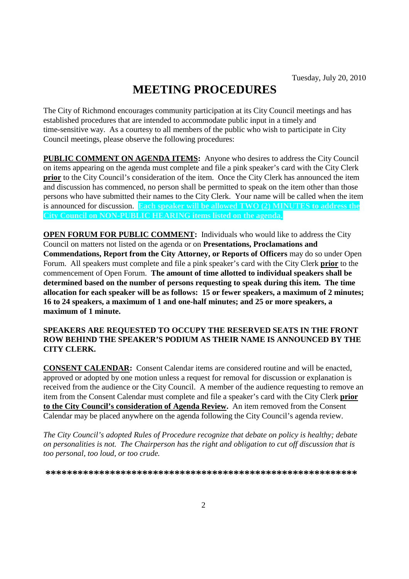# **MEETING PROCEDURES**

The City of Richmond encourages community participation at its City Council meetings and has established procedures that are intended to accommodate public input in a timely and time-sensitive way. As a courtesy to all members of the public who wish to participate in City Council meetings, please observe the following procedures:

**PUBLIC COMMENT ON AGENDA ITEMS:** Anyone who desires to address the City Council on items appearing on the agenda must complete and file a pink speaker's card with the City Clerk **prior** to the City Council's consideration of the item. Once the City Clerk has announced the item and discussion has commenced, no person shall be permitted to speak on the item other than those persons who have submitted their names to the City Clerk. Your name will be called when the item is announced for discussion. **Each speaker will be allowed TWO (2) MINUTES to address the City Council on NON-PUBLIC HEARING items listed on the agenda.**

**OPEN FORUM FOR PUBLIC COMMENT:** Individuals who would like to address the City Council on matters not listed on the agenda or on **Presentations, Proclamations and Commendations, Report from the City Attorney, or Reports of Officers** may do so under Open Forum. All speakers must complete and file a pink speaker's card with the City Clerk **prior** to the commencement of Open Forum. **The amount of time allotted to individual speakers shall be determined based on the number of persons requesting to speak during this item. The time allocation for each speaker will be as follows: 15 or fewer speakers, a maximum of 2 minutes; 16 to 24 speakers, a maximum of 1 and one-half minutes; and 25 or more speakers, a maximum of 1 minute.**

## **SPEAKERS ARE REQUESTED TO OCCUPY THE RESERVED SEATS IN THE FRONT ROW BEHIND THE SPEAKER'S PODIUM AS THEIR NAME IS ANNOUNCED BY THE CITY CLERK.**

**CONSENT CALENDAR:** Consent Calendar items are considered routine and will be enacted, approved or adopted by one motion unless a request for removal for discussion or explanation is received from the audience or the City Council. A member of the audience requesting to remove an item from the Consent Calendar must complete and file a speaker's card with the City Clerk **prior to the City Council's consideration of Agenda Review.** An item removed from the Consent Calendar may be placed anywhere on the agenda following the City Council's agenda review.

*The City Council's adopted Rules of Procedure recognize that debate on policy is healthy; debate on personalities is not. The Chairperson has the right and obligation to cut off discussion that is too personal, too loud, or too crude.*

**\*\*\*\*\*\*\*\*\*\*\*\*\*\*\*\*\*\*\*\*\*\*\*\*\*\*\*\*\*\*\*\*\*\*\*\*\*\*\*\*\*\*\*\*\*\*\*\*\*\*\*\*\*\*\*\*\*\***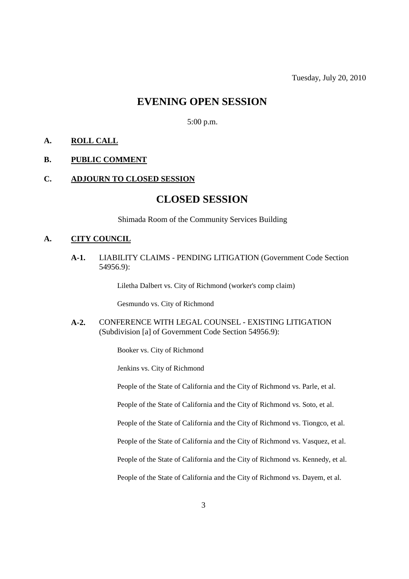## **EVENING OPEN SESSION**

5:00 p.m.

## **A. ROLL CALL**

### **B. PUBLIC COMMENT**

### **C. ADJOURN TO CLOSED SESSION**

## **CLOSED SESSION**

Shimada Room of the Community Services Building

### **A. CITY COUNCIL**

**A-1.** LIABILITY CLAIMS - PENDING LITIGATION (Government Code Section 54956.9):

Liletha Dalbert vs. City of Richmond (worker's comp claim)

Gesmundo vs. City of Richmond

**A-2.** CONFERENCE WITH LEGAL COUNSEL - EXISTING LITIGATION (Subdivision [a] of Government Code Section 54956.9):

Booker vs. City of Richmond

Jenkins vs. City of Richmond

People of the State of California and the City of Richmond vs. Parle, et al.

People of the State of California and the City of Richmond vs. Soto, et al.

People of the State of California and the City of Richmond vs. Tiongco, et al.

People of the State of California and the City of Richmond vs. Vasquez, et al.

People of the State of California and the City of Richmond vs. Kennedy, et al.

People of the State of California and the City of Richmond vs. Dayem, et al.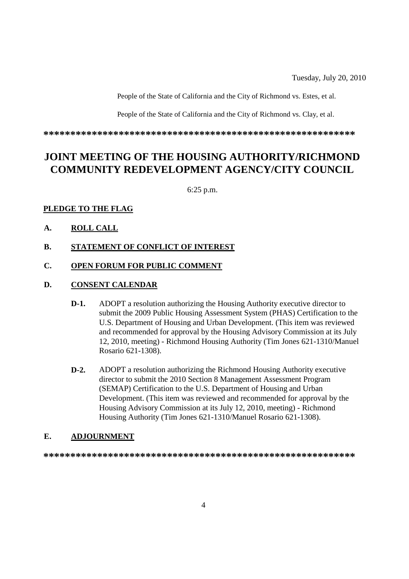Tuesday, July 20, 2010

People of the State of California and the City of Richmond vs. Estes, et al.

People of the State of California and the City of Richmond vs. Clay, et al.

**\*\*\*\*\*\*\*\*\*\*\*\*\*\*\*\*\*\*\*\*\*\*\*\*\*\*\*\*\*\*\*\*\*\*\*\*\*\*\*\*\*\*\*\*\*\*\*\*\*\*\*\*\*\*\*\*\*\***

## **JOINT MEETING OF THE HOUSING AUTHORITY/RICHMOND COMMUNITY REDEVELOPMENT AGENCY/CITY COUNCIL**

6:25 p.m.

## **PLEDGE TO THE FLAG**

- **A. ROLL CALL**
- **B. STATEMENT OF CONFLICT OF INTEREST**

## **C. OPEN FORUM FOR PUBLIC COMMENT**

## **D. CONSENT CALENDAR**

- **D-1.** ADOPT a resolution authorizing the Housing Authority executive director to submit the 2009 Public Housing Assessment System (PHAS) Certification to the U.S. Department of Housing and Urban Development. (This item was reviewed and recommended for approval by the Housing Advisory Commission at its July 12, 2010, meeting) - Richmond Housing Authority (Tim Jones 621-1310/Manuel Rosario 621-1308).
- **D-2.** ADOPT a resolution authorizing the Richmond Housing Authority executive director to submit the 2010 Section 8 Management Assessment Program (SEMAP) Certification to the U.S. Department of Housing and Urban Development. (This item was reviewed and recommended for approval by the Housing Advisory Commission at its July 12, 2010, meeting) - Richmond Housing Authority (Tim Jones 621-1310/Manuel Rosario 621-1308).

## **E. ADJOURNMENT**

**\*\*\*\*\*\*\*\*\*\*\*\*\*\*\*\*\*\*\*\*\*\*\*\*\*\*\*\*\*\*\*\*\*\*\*\*\*\*\*\*\*\*\*\*\*\*\*\*\*\*\*\*\*\*\*\*\*\***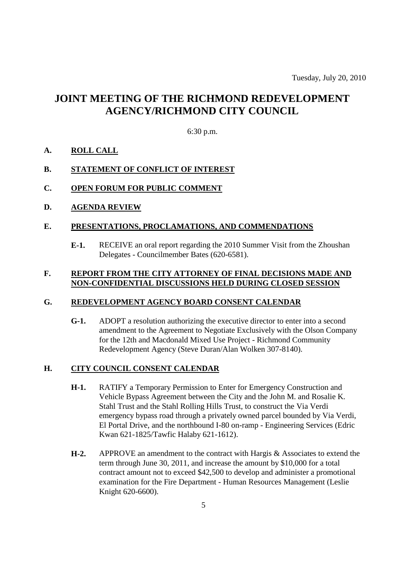## **JOINT MEETING OF THE RICHMOND REDEVELOPMENT AGENCY/RICHMOND CITY COUNCIL**

### 6:30 p.m.

### **A. ROLL CALL**

## **B. STATEMENT OF CONFLICT OF INTEREST**

### **C. OPEN FORUM FOR PUBLIC COMMENT**

**D. AGENDA REVIEW**

#### **E. PRESENTATIONS, PROCLAMATIONS, AND COMMENDATIONS**

**E-1.** RECEIVE an oral report regarding the 2010 Summer Visit from the Zhoushan Delegates - Councilmember Bates (620-6581).

## **F. REPORT FROM THE CITY ATTORNEY OF FINAL DECISIONS MADE AND NON-CONFIDENTIAL DISCUSSIONS HELD DURING CLOSED SESSION**

#### **G. REDEVELOPMENT AGENCY BOARD CONSENT CALENDAR**

**G-1.** ADOPT a resolution authorizing the executive director to enter into a second amendment to the Agreement to Negotiate Exclusively with the Olson Company for the 12th and Macdonald Mixed Use Project - Richmond Community Redevelopment Agency (Steve Duran/Alan Wolken 307-8140).

### **H. CITY COUNCIL CONSENT CALENDAR**

- **H-1.** RATIFY a Temporary Permission to Enter for Emergency Construction and Vehicle Bypass Agreement between the City and the John M. and Rosalie K. Stahl Trust and the Stahl Rolling Hills Trust, to construct the Via Verdi emergency bypass road through a privately owned parcel bounded by Via Verdi, El Portal Drive, and the northbound I-80 on-ramp - Engineering Services (Edric Kwan 621-1825/Tawfic Halaby 621-1612).
- **H-2.** APPROVE an amendment to the contract with Hargis & Associates to extend the term through June 30, 2011, and increase the amount by \$10,000 for a total contract amount not to exceed \$42,500 to develop and administer a promotional examination for the Fire Department - Human Resources Management (Leslie Knight 620-6600).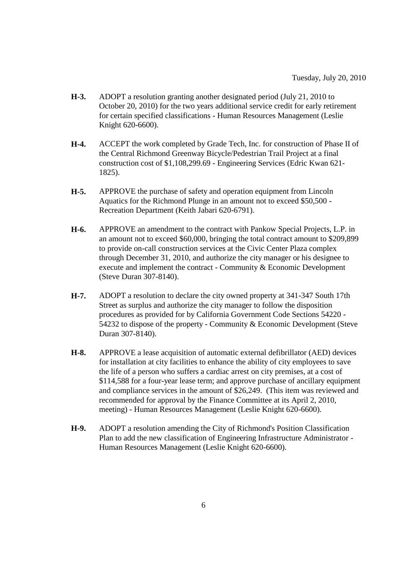- **H-3.** ADOPT a resolution granting another designated period (July 21, 2010 to October 20, 2010) for the two years additional service credit for early retirement for certain specified classifications - Human Resources Management (Leslie Knight 620-6600).
- **H-4.** ACCEPT the work completed by Grade Tech, Inc. for construction of Phase II of the Central Richmond Greenway Bicycle/Pedestrian Trail Project at a final construction cost of \$1,108,299.69 - Engineering Services (Edric Kwan 621- 1825).
- **H-5.** APPROVE the purchase of safety and operation equipment from Lincoln Aquatics for the Richmond Plunge in an amount not to exceed \$50,500 - Recreation Department (Keith Jabari 620-6791).
- **H-6.** APPROVE an amendment to the contract with Pankow Special Projects, L.P. in an amount not to exceed \$60,000, bringing the total contract amount to \$209,899 to provide on-call construction services at the Civic Center Plaza complex through December 31, 2010, and authorize the city manager or his designee to execute and implement the contract - Community & Economic Development (Steve Duran 307-8140).
- **H-7.** ADOPT a resolution to declare the city owned property at 341-347 South 17th Street as surplus and authorize the city manager to follow the disposition procedures as provided for by California Government Code Sections 54220 - 54232 to dispose of the property - Community & Economic Development (Steve Duran 307-8140).
- **H-8.** APPROVE a lease acquisition of automatic external defibrillator (AED) devices for installation at city facilities to enhance the ability of city employees to save the life of a person who suffers a cardiac arrest on city premises, at a cost of \$114,588 for a four-year lease term; and approve purchase of ancillary equipment and compliance services in the amount of \$26,249. (This item was reviewed and recommended for approval by the Finance Committee at its April 2, 2010, meeting) - Human Resources Management (Leslie Knight 620-6600).
- **H-9.** ADOPT a resolution amending the City of Richmond's Position Classification Plan to add the new classification of Engineering Infrastructure Administrator - Human Resources Management (Leslie Knight 620-6600).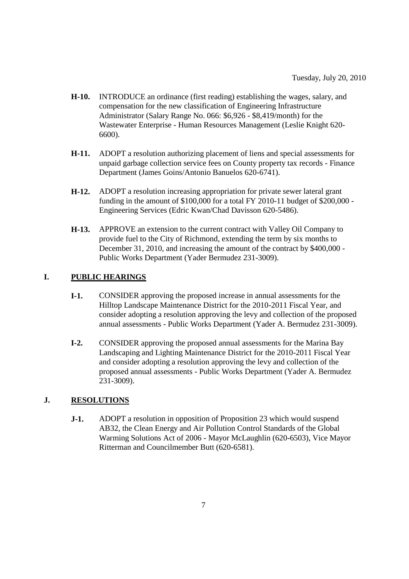- **H-10.** INTRODUCE an ordinance (first reading) establishing the wages, salary, and compensation for the new classification of Engineering Infrastructure Administrator (Salary Range No. 066: \$6,926 - \$8,419/month) for the Wastewater Enterprise - Human Resources Management (Leslie Knight 620- 6600).
- **H-11.** ADOPT a resolution authorizing placement of liens and special assessments for unpaid garbage collection service fees on County property tax records - Finance Department (James Goins/Antonio Banuelos 620-6741).
- **H-12.** ADOPT a resolution increasing appropriation for private sewer lateral grant funding in the amount of \$100,000 for a total FY 2010-11 budget of \$200,000 - Engineering Services (Edric Kwan/Chad Davisson 620-5486).
- **H-13.** APPROVE an extension to the current contract with Valley Oil Company to provide fuel to the City of Richmond, extending the term by six months to December 31, 2010, and increasing the amount of the contract by \$400,000 - Public Works Department (Yader Bermudez 231-3009).

## **I. PUBLIC HEARINGS**

- **I-1.** CONSIDER approving the proposed increase in annual assessments for the Hilltop Landscape Maintenance District for the 2010-2011 Fiscal Year, and consider adopting a resolution approving the levy and collection of the proposed annual assessments - Public Works Department (Yader A. Bermudez 231-3009).
- **I-2.** CONSIDER approving the proposed annual assessments for the Marina Bay Landscaping and Lighting Maintenance District for the 2010-2011 Fiscal Year and consider adopting a resolution approving the levy and collection of the proposed annual assessments - Public Works Department (Yader A. Bermudez 231-3009).

## **J. RESOLUTIONS**

**J-1.** ADOPT a resolution in opposition of Proposition 23 which would suspend AB32, the Clean Energy and Air Pollution Control Standards of the Global Warming Solutions Act of 2006 - Mayor McLaughlin (620-6503), Vice Mayor Ritterman and Councilmember Butt (620-6581).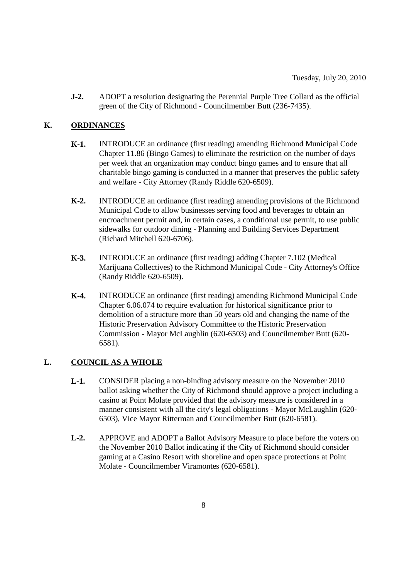**J-2.** ADOPT a resolution designating the Perennial Purple Tree Collard as the official green of the City of Richmond - Councilmember Butt (236-7435).

## **K. ORDINANCES**

- **K-1.** INTRODUCE an ordinance (first reading) amending Richmond Municipal Code Chapter 11.86 (Bingo Games) to eliminate the restriction on the number of days per week that an organization may conduct bingo games and to ensure that all charitable bingo gaming is conducted in a manner that preserves the public safety and welfare - City Attorney (Randy Riddle 620-6509).
- **K-2.** INTRODUCE an ordinance (first reading) amending provisions of the Richmond Municipal Code to allow businesses serving food and beverages to obtain an encroachment permit and, in certain cases, a conditional use permit, to use public sidewalks for outdoor dining - Planning and Building Services Department (Richard Mitchell 620-6706).
- **K-3.** INTRODUCE an ordinance (first reading) adding Chapter 7.102 (Medical Marijuana Collectives) to the Richmond Municipal Code - City Attorney's Office (Randy Riddle 620-6509).
- **K-4.** INTRODUCE an ordinance (first reading) amending Richmond Municipal Code Chapter 6.06.074 to require evaluation for historical significance prior to demolition of a structure more than 50 years old and changing the name of the Historic Preservation Advisory Committee to the Historic Preservation Commission - Mayor McLaughlin (620-6503) and Councilmember Butt (620- 6581).

## **L. COUNCIL AS A WHOLE**

- **L-1.** CONSIDER placing a non-binding advisory measure on the November 2010 ballot asking whether the City of Richmond should approve a project including a casino at Point Molate provided that the advisory measure is considered in a manner consistent with all the city's legal obligations - Mayor McLaughlin (620- 6503), Vice Mayor Ritterman and Councilmember Butt (620-6581).
- **L-2.** APPROVE and ADOPT a Ballot Advisory Measure to place before the voters on the November 2010 Ballot indicating if the City of Richmond should consider gaming at a Casino Resort with shoreline and open space protections at Point Molate - Councilmember Viramontes (620-6581).